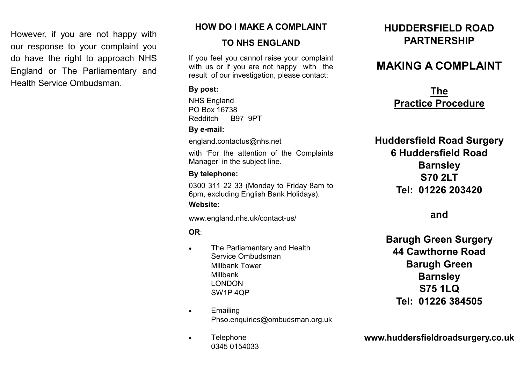However, if you are not happy with our response to your complaint you do have the right to approach NHS England or The Parliamentary and Health Service Ombudsman.

## **HOW DO I MAKE A COMPLAINT**

## **TO NHS ENGLAND**

If you feel you cannot raise your complaint with us or if you are not happy with the result of our investigation, please contact:

### **By post:**

NHS England PO Box 16738 Redditch B97 9PT

## **By e-mail:**

england.contactus@nhs.net

with 'For the attention of the Complaints Manager' in the subject line.

## **By telephone:**

0300 311 22 33 (Monday to Friday 8am to 6pm, excluding English Bank Holidays).

### **Website:**

www.england.nhs.uk/contact-us/

## **OR**:

- The Parliamentary and Health Service Ombudsman Millbank Tower Millbank LONDON SW1P 4QP
- **•** Emailing Phso.enquiries@ombudsman.org.uk
- **Telephone** 0345 0154033

# **HUDDERSFIELD ROAD PARTNERSHIP**

# **MAKING A COMPLAINT**

# **The Practice Procedure**

**Huddersfield Road Surgery 6 Huddersfield Road Barnsley S70 2LT Tel: 01226 203420**

## **and**

**Barugh Green Surgery 44 Cawthorne Road Barugh Green Barnsley S75 1LQ Tel: 01226 384505**

**www.huddersfieldroadsurgery.co.uk**